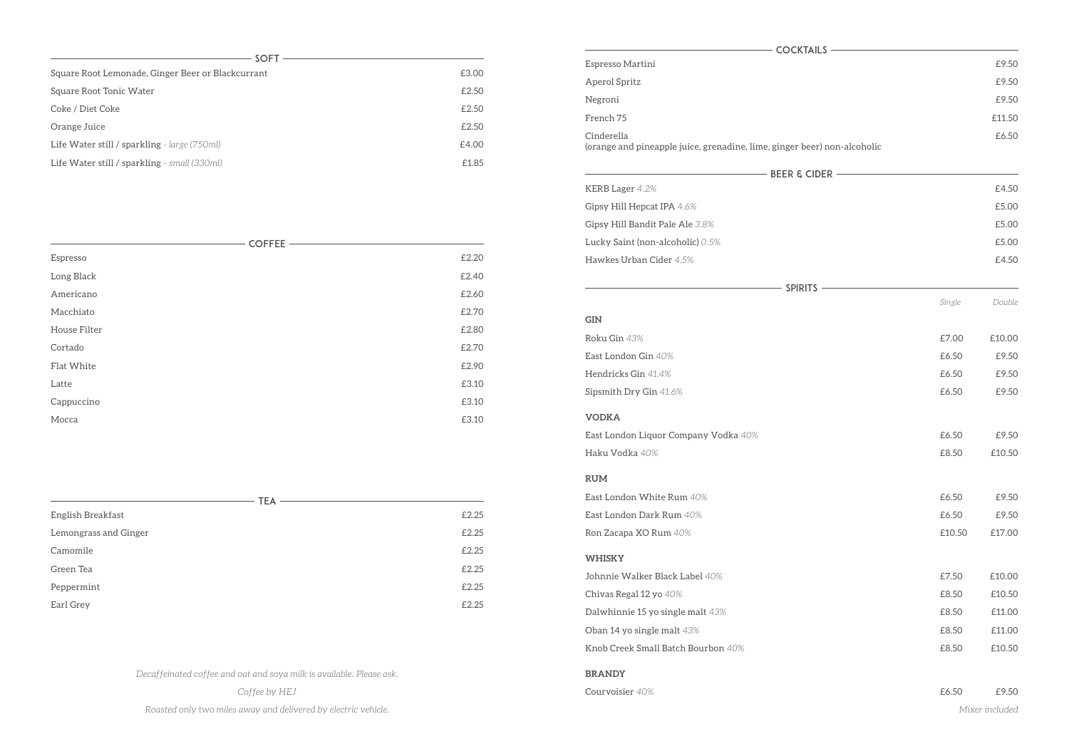| <b>SOFT</b>                                       |       |
|---------------------------------------------------|-------|
| Square Root Lemonade, Ginger Beer or Blackcurrant | £3.00 |
| Square Root Tonic Water                           | £2.50 |
| Coke / Diet Coke                                  | £2.50 |
| Orange Juice                                      | £2.50 |
| Life Water still / sparkling - large (750ml)      | £4.00 |
| Life Water still / sparkling - small (330ml)      | £1.85 |

| £2.25 |
|-------|
| £2.25 |
| £2.25 |
| £2.25 |
| £2.25 |
| £2.25 |
|       |

*Decaffeinated coffee and oat and soya milk is available. Please ask.* 

*Coffee by HEJ* 

*Roasted only two miles away and delivered by electric vehicle.* 

| <b>COFFEE</b> |       |
|---------------|-------|
| Espresso      | £2.20 |
| Long Black    | £2.40 |
| Americano     | £2.60 |
| Macchiato     | £2.70 |
| House Filter  | £2.80 |
| Cortado       | £2.70 |
| Flat White    | £2.90 |
| Latte         | £3.10 |
| Cappuccino    | £3.10 |
| Mocca         | £3.10 |

| Espresso Martini                                                                       |        | £9.50          |
|----------------------------------------------------------------------------------------|--------|----------------|
| Aperol Spritz                                                                          |        | £9.50          |
| Negroni                                                                                |        | £9.50          |
| French 75                                                                              |        | £11.50         |
| Cinderella<br>(orange and pineapple juice, grenadine, lime, ginger beer) non-alcoholic |        | £6.50          |
| $-$ Beer & Cider $-$                                                                   |        |                |
| KERB Lager 4.2%                                                                        |        | £4.50          |
| Gipsy Hill Hepcat IPA 4.6%                                                             |        | £5.00          |
| Gipsy Hill Bandit Pale Ale 3.8%                                                        |        | £5.00          |
| Lucky Saint (non-alcoholic) 0.5%                                                       |        | £5.00          |
| Hawkes Urban Cider 4.5%                                                                |        | £4.50          |
| SPIRITS                                                                                |        |                |
|                                                                                        | Single | Double         |
| <b>GIN</b>                                                                             |        |                |
| Roku Gin 43%                                                                           | £7.00  | £10.00         |
| East London Gin 40%                                                                    | £6.50  | £9.50          |
| Hendricks Gin 41.4%                                                                    | £6.50  | £9.50          |
| Sipsmith Dry Gin 41.6%                                                                 | £6.50  | £9.50          |
| <b>VODKA</b>                                                                           |        |                |
| East London Liquor Company Vodka 40%                                                   | £6.50  | £9.50          |
| Haku Vodka 40%                                                                         | £8.50  | £10.50         |
| <b>RUM</b>                                                                             |        |                |
| East London White Rum 40%                                                              | £6.50  | £9.50          |
| East London Dark Rum 40%                                                               | £6.50  | £9.50          |
| Ron Zacapa XO Rum 40%                                                                  | £10.50 | £17.00         |
| <b>WHISKY</b>                                                                          |        |                |
| Johnnie Walker Black Label 40%                                                         | £7.50  | £10.00         |
| Chivas Regal 12 yo 40%                                                                 | £8.50  | £10.50         |
| Dalwhinnie 15 yo single malt 43%                                                       | £8.50  | £11.00         |
| Oban 14 yo single malt 43%                                                             | £8.50  | £11.00         |
| Knob Creek Small Batch Bourbon 40%                                                     | £8.50  | £10.50         |
| <b>BRANDY</b>                                                                          |        |                |
| Courvoisier 40%                                                                        | £6.50  | £9.50          |
|                                                                                        |        | Mixer included |